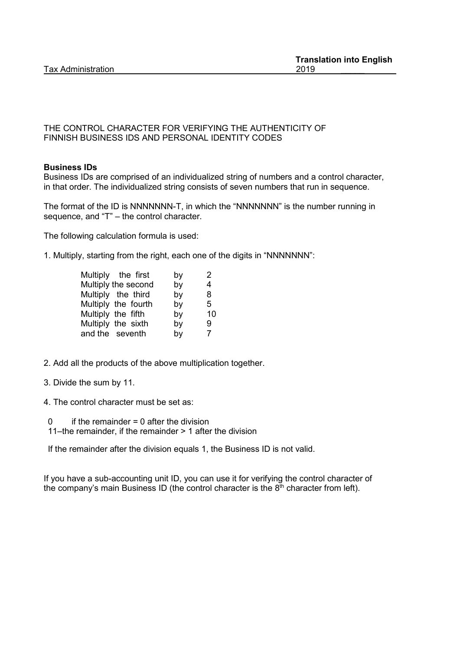#### THE CONTROL CHARACTER FOR VERIFYING THE AUTHENTICITY OF FINNISH BUSINESS IDS AND PERSONAL IDENTITY CODES

## **Business IDs**

Business IDs are comprised of an individualized string of numbers and a control character, in that order. The individualized string consists of seven numbers that run in sequence.

The format of the ID is NNNNNNN-T, in which the "NNNNNNN" is the number running in sequence, and "T" – the control character.

The following calculation formula is used:

1. Multiply, starting from the right, each one of the digits in "NNNNNNN":

| Multiply the first  | by | 2  |
|---------------------|----|----|
| Multiply the second | by | 4  |
| Multiply the third  | by | 8  |
| Multiply the fourth | by | 5. |
| Multiply the fifth  | by | 10 |
| Multiply the sixth  | by | 9. |
| and the seventh     | by | 7  |

- 2. Add all the products of the above multiplication together.
- 3. Divide the sum by 11.
- 4. The control character must be set as:
	- $0$  if the remainder = 0 after the division
	- 11–the remainder, if the remainder > 1 after the division

If the remainder after the division equals 1, the Business ID is not valid.

If you have a sub-accounting unit ID, you can use it for verifying the control character of the company's main Business ID (the control character is the  $8<sup>th</sup>$  character from left).